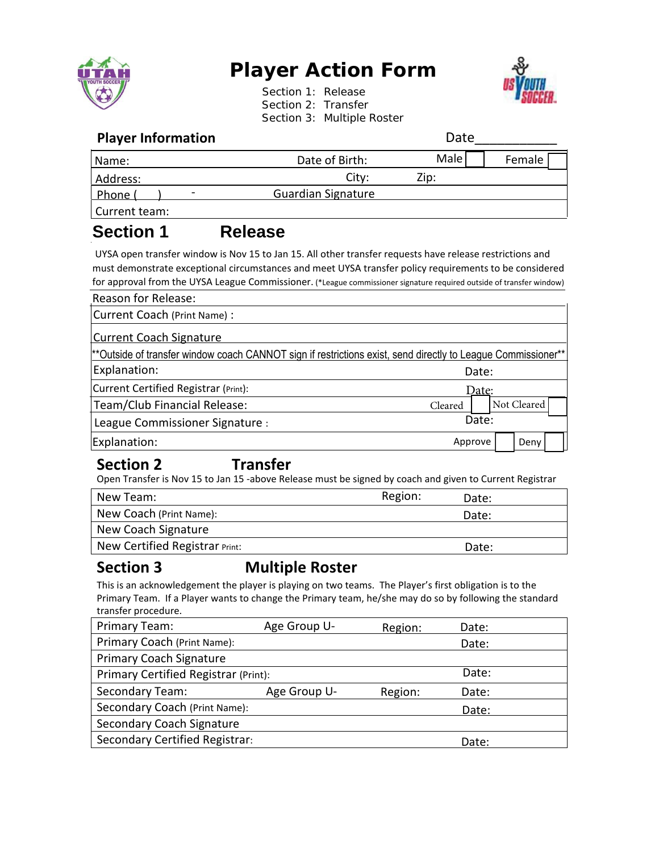

# **Player Action Form**

Section 1: Release Section 2: Transfer Section 3: Multiple Roster



### **Player Information Date**

| <b>FIGYCL IIIIUI IIIIGUUII</b> |                           | Dacc |        |
|--------------------------------|---------------------------|------|--------|
| Name:                          | Date of Birth:            | Male | Female |
| Address:                       | City:                     | Zip: |        |
| l Phone (<br>-                 | <b>Guardian Signature</b> |      |        |
| Current team:                  |                           |      |        |

# **Section 1 Release**

UYSA open transfer window is Nov 15 to Jan 15. All other transfer requests have release restrictions and must demonstrate exceptional circumstances and meet UYSA transfer policy requirements to be considered for approval from the UYSA League Commissioner. (\*League commissioner signature required outside of transfer window)

| Reason for Release:                                                                                          |         |  |             |  |
|--------------------------------------------------------------------------------------------------------------|---------|--|-------------|--|
| Current Coach (Print Name) :                                                                                 |         |  |             |  |
| Current Coach Signature                                                                                      |         |  |             |  |
| **Outside of transfer window coach CANNOT sign if restrictions exist, send directly to League Commissioner** |         |  |             |  |
| Explanation:                                                                                                 | Date:   |  |             |  |
| Current Certified Registrar (Print):                                                                         | Date:   |  |             |  |
| Team/Club Financial Release:                                                                                 | Cleared |  | Not Cleared |  |
| League Commissioner Signature :                                                                              | Date:   |  |             |  |
| Explanation:                                                                                                 | Approve |  | Deny        |  |

## **Section 2 Transfer**

Open Transfer is Nov 15 to Jan 15 -above Release must be signed by coach and given to Current Registrar

| New Team:                      | Region: | Date: |
|--------------------------------|---------|-------|
| New Coach (Print Name):        |         | Date: |
| New Coach Signature            |         |       |
| New Certified Registrar Print: |         | Date: |

## **Section 3 Multiple Roster**

This is an acknowledgement the player is playing on two teams. The Player's first obligation is to the Primary Team. If a Player wants to change the Primary team, he/she may do so by following the standard transfer procedure.

| Primary Team:                        | Age Group U- | Region: | Date: |  |
|--------------------------------------|--------------|---------|-------|--|
| Primary Coach (Print Name):          |              |         | Date: |  |
| <b>Primary Coach Signature</b>       |              |         |       |  |
| Primary Certified Registrar (Print): |              |         | Date: |  |
| <b>Secondary Team:</b>               | Age Group U- | Region: | Date: |  |
| Secondary Coach (Print Name):        |              |         | Date: |  |
| Secondary Coach Signature            |              |         |       |  |
| Secondary Certified Registrar:       |              |         | Date: |  |